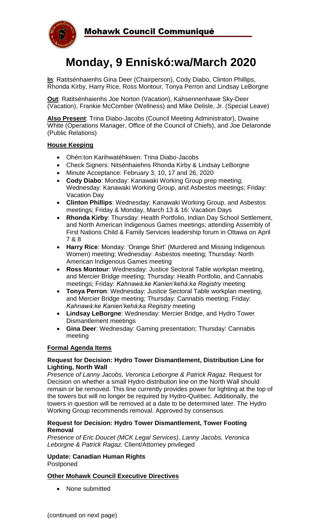

# **Monday, 9 Enniskó:wa/March 2020**

**In**: Ratitsénhaienhs Gina Deer (Chairperson), Cody Diabo, Clinton Phillips, Rhonda Kirby, Harry Rice, Ross Montour, Tonya Perron and Lindsay LeBorgne

**Out**: Ratitsénhaienhs Joe Norton (Vacation), Kahsennenhawe Sky-Deer (Vacation), Frankie McComber (Wellness) and Mike Delisle, Jr. (Special Leave)

**Also Present**: Trina Diabo-Jacobs (Council Meeting Administrator), Dwaine White (Operations Manager, Office of the Council of Chiefs), and Joe Delaronde (Public Relations)

#### **House Keeping**

- Ohén:ton Karihwatéhkwen: Trina Diabo-Jacobs
- Check Signers: Nitsénhaiehns Rhonda Kirby & Lindsay LeBorgne
- Minute Acceptance: February 3, 10, 17 and 26, 2020
- **Cody Diabo**: Monday: Kanawaki Working Group prep meeting; Wednesday: Kanawaki Working Group, and Asbestos meetings; Friday: Vacation Day
- **Clinton Phillips**: Wednesday: Kanawaki Working Group, and Asbestos meetings; Friday & Monday, March 13 & 16: Vacation Days
- **Rhonda Kirby**: Thursday: Health Portfolio, Indian Day School Settlement, and North American Indigenous Games meetings; attending Assembly of First Nations Child & Family Services leadership forum in Ottawa on April 7 & 8
- **Harry Rice**: Monday: 'Orange Shirt' (Murdered and Missing Indigenous Women) meeting; Wednesday: Asbestos meeting; Thursday: North American Indigenous Games meeting
- **Ross Montour**: Wednesday: Justice Sectoral Table workplan meeting, and Mercier Bridge meeting; Thursday: Health Portfolio, and Cannabis meetings; Friday: *Kahnawà:ke Kanien'kehá:ka Registry* meeting
- **Tonya Perron**: Wednesday: Justice Sectoral Table workplan meeting, and Mercier Bridge meeting; Thursday: Cannabis meeting; Friday: *Kahnawà:ke Kanien'kehá:ka Registry* meeting
- **Lindsay LeBorgne**: Wednesday: Mercier Bridge, and Hydro Tower Dismantlement meetings
- **Gina Deer**: Wednesday: Gaming presentation; Thursday: Cannabis meeting

#### **Formal Agenda Items**

#### **Request for Decision: Hydro Tower Dismantlement, Distribution Line for Lighting, North Wall**

*Presence of Lanny Jacobs, Veronica Leborgne & Patrick Ragaz.* Request for Decision on whether a small Hydro distribution line on the North Wall should remain or be removed. This line currently provides power for lighting at the top of the towers but will no longer be required by Hydro-Québec. Additionally, the towers in question will be removed at a date to be determined later. The Hydro Working Group recommends removal. Approved by consensus.

#### **Request for Decision: Hydro Tower Dismantlement, Tower Footing Removal**

*Presence of Eric Doucet (MCK Legal Services), Lanny Jacobs, Veronica Leborgne & Patrick Ragaz.* Client/Attorney privileged

#### **Update: Canadian Human Rights** Postponed

### **Other Mohawk Council Executive Directives**

• None submitted